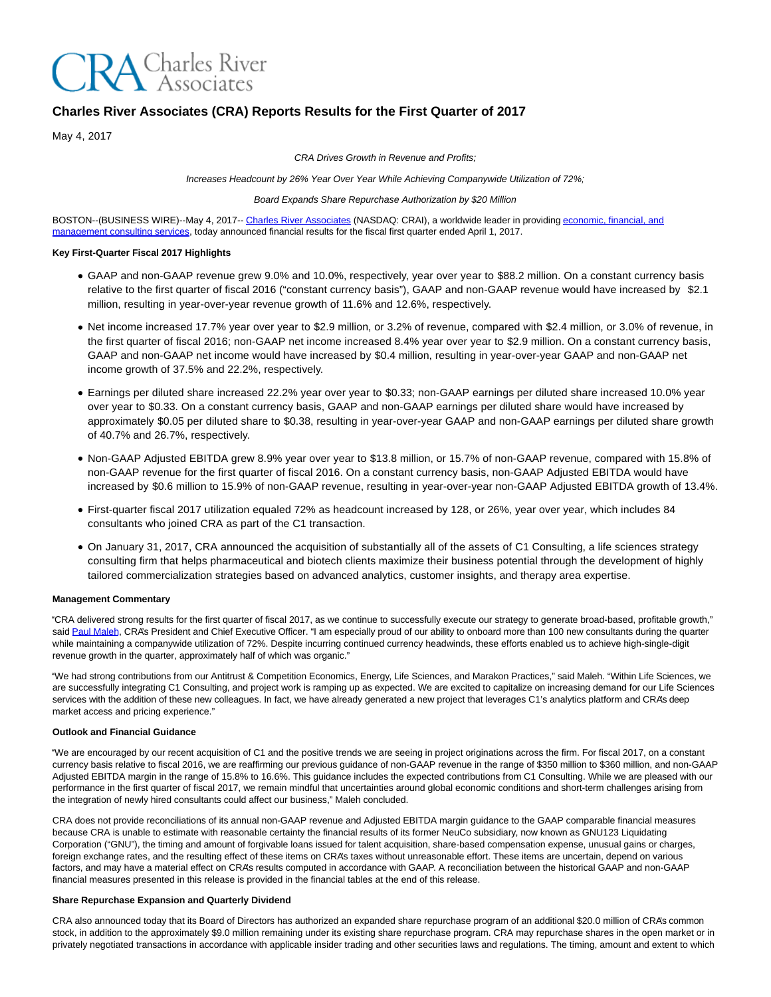

# **Charles River Associates (CRA) Reports Results for the First Quarter of 2017**

May 4, 2017

CRA Drives Growth in Revenue and Profits;

Increases Headcount by 26% Year Over Year While Achieving Companywide Utilization of 72%;

### Board Expands Share Repurchase Authorization by \$20 Million

BOSTON--(BUSINESS WIRE)--May 4, 2017-- [Charles River Associates \(](http://cts.businesswire.com/ct/CT?id=smartlink&url=http%3A%2F%2Fwww.crai.com%2FDefault.aspx&esheet=51552948&newsitemid=20170504005730&lan=en-US&anchor=Charles+River+Associates&index=1&md5=f414ebe5c8b14f8f5909393a3b29e703)NASDAQ: CRAI), a worldwide leader in providin[g economic, financial, and](http://cts.businesswire.com/ct/CT?id=smartlink&url=http%3A%2F%2Fwww.crai.com%2FConsultingExpertise%2FDefaultCustom.aspx&esheet=51552948&newsitemid=20170504005730&lan=en-US&anchor=economic%2C+financial%2C+and+management+consulting+services&index=2&md5=f7237b6adc6ac5db59292459358f7b7b) management consulting services, today announced financial results for the fiscal first quarter ended April 1, 2017.

# **Key First-Quarter Fiscal 2017 Highlights**

- GAAP and non-GAAP revenue grew 9.0% and 10.0%, respectively, year over year to \$88.2 million. On a constant currency basis relative to the first quarter of fiscal 2016 ("constant currency basis"), GAAP and non-GAAP revenue would have increased by \$2.1 million, resulting in year-over-year revenue growth of 11.6% and 12.6%, respectively.
- Net income increased 17.7% year over year to \$2.9 million, or 3.2% of revenue, compared with \$2.4 million, or 3.0% of revenue, in the first quarter of fiscal 2016; non-GAAP net income increased 8.4% year over year to \$2.9 million. On a constant currency basis, GAAP and non-GAAP net income would have increased by \$0.4 million, resulting in year-over-year GAAP and non-GAAP net income growth of 37.5% and 22.2%, respectively.
- Earnings per diluted share increased 22.2% year over year to \$0.33; non-GAAP earnings per diluted share increased 10.0% year over year to \$0.33. On a constant currency basis, GAAP and non-GAAP earnings per diluted share would have increased by approximately \$0.05 per diluted share to \$0.38, resulting in year-over-year GAAP and non-GAAP earnings per diluted share growth of 40.7% and 26.7%, respectively.
- Non-GAAP Adjusted EBITDA grew 8.9% year over year to \$13.8 million, or 15.7% of non-GAAP revenue, compared with 15.8% of non-GAAP revenue for the first quarter of fiscal 2016. On a constant currency basis, non-GAAP Adjusted EBITDA would have increased by \$0.6 million to 15.9% of non-GAAP revenue, resulting in year-over-year non-GAAP Adjusted EBITDA growth of 13.4%.
- First-quarter fiscal 2017 utilization equaled 72% as headcount increased by 128, or 26%, year over year, which includes 84 consultants who joined CRA as part of the C1 transaction.
- On January 31, 2017, CRA announced the acquisition of substantially all of the assets of C1 Consulting, a life sciences strategy consulting firm that helps pharmaceutical and biotech clients maximize their business potential through the development of highly tailored commercialization strategies based on advanced analytics, customer insights, and therapy area expertise.

## **Management Commentary**

"CRA delivered strong results for the first quarter of fiscal 2017, as we continue to successfully execute our strategy to generate broad-based, profitable growth," sai[d Paul Maleh,](http://cts.businesswire.com/ct/CT?id=smartlink&url=http%3A%2F%2Fwww.crai.com%2Fexpert%2Fpaul-maleh&esheet=51552948&newsitemid=20170504005730&lan=en-US&anchor=Paul+Maleh&index=3&md5=ebac6dce6a3901f1341d0148ccfed3c2) CRA's President and Chief Executive Officer. "I am especially proud of our ability to onboard more than 100 new consultants during the quarter while maintaining a companywide utilization of 72%. Despite incurring continued currency headwinds, these efforts enabled us to achieve high-single-digit revenue growth in the quarter, approximately half of which was organic."

"We had strong contributions from our Antitrust & Competition Economics, Energy, Life Sciences, and Marakon Practices," said Maleh. "Within Life Sciences, we are successfully integrating C1 Consulting, and project work is ramping up as expected. We are excited to capitalize on increasing demand for our Life Sciences services with the addition of these new colleagues. In fact, we have already generated a new project that leverages C1's analytics platform and CRA's deep market access and pricing experience."

## **Outlook and Financial Guidance**

"We are encouraged by our recent acquisition of C1 and the positive trends we are seeing in project originations across the firm. For fiscal 2017, on a constant currency basis relative to fiscal 2016, we are reaffirming our previous guidance of non-GAAP revenue in the range of \$350 million to \$360 million, and non-GAAP Adjusted EBITDA margin in the range of 15.8% to 16.6%. This guidance includes the expected contributions from C1 Consulting. While we are pleased with our performance in the first quarter of fiscal 2017, we remain mindful that uncertainties around global economic conditions and short-term challenges arising from the integration of newly hired consultants could affect our business," Maleh concluded.

CRA does not provide reconciliations of its annual non-GAAP revenue and Adjusted EBITDA margin guidance to the GAAP comparable financial measures because CRA is unable to estimate with reasonable certainty the financial results of its former NeuCo subsidiary, now known as GNU123 Liquidating Corporation ("GNU"), the timing and amount of forgivable loans issued for talent acquisition, share-based compensation expense, unusual gains or charges, foreign exchange rates, and the resulting effect of these items on CRA's taxes without unreasonable effort. These items are uncertain, depend on various factors, and may have a material effect on CRA's results computed in accordance with GAAP. A reconciliation between the historical GAAP and non-GAAP financial measures presented in this release is provided in the financial tables at the end of this release.

# **Share Repurchase Expansion and Quarterly Dividend**

CRA also announced today that its Board of Directors has authorized an expanded share repurchase program of an additional \$20.0 million of CRA's common stock, in addition to the approximately \$9.0 million remaining under its existing share repurchase program. CRA may repurchase shares in the open market or in privately negotiated transactions in accordance with applicable insider trading and other securities laws and regulations. The timing, amount and extent to which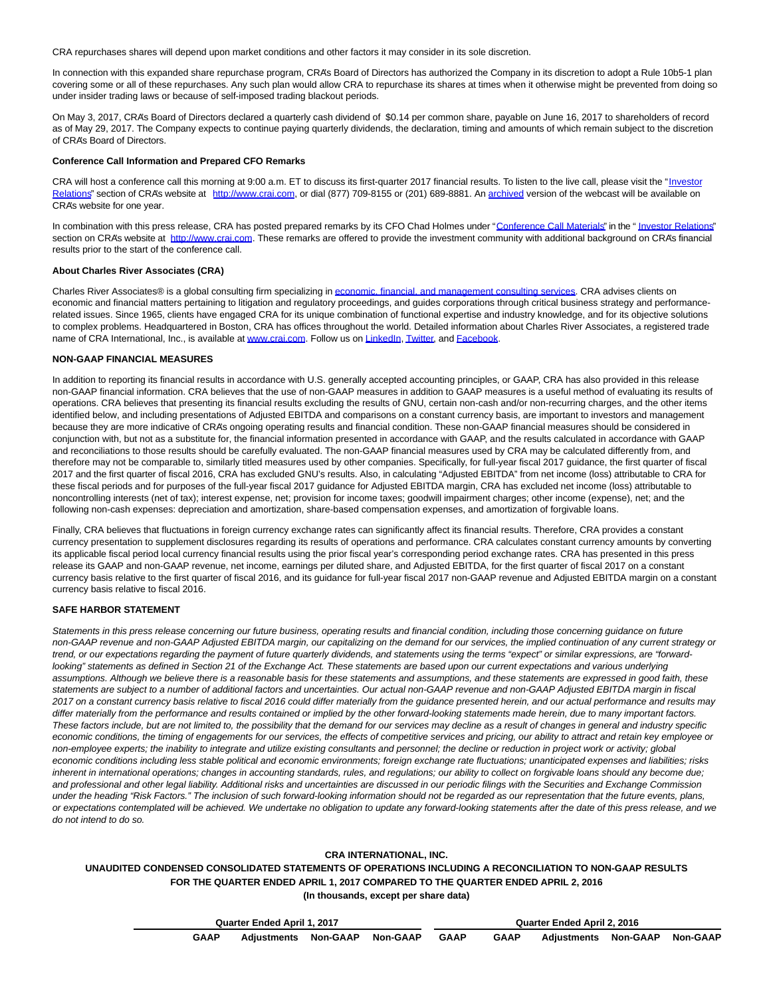CRA repurchases shares will depend upon market conditions and other factors it may consider in its sole discretion.

In connection with this expanded share repurchase program, CRA's Board of Directors has authorized the Company in its discretion to adopt a Rule 10b5-1 plan covering some or all of these repurchases. Any such plan would allow CRA to repurchase its shares at times when it otherwise might be prevented from doing so under insider trading laws or because of self-imposed trading blackout periods.

On May 3, 2017, CRA's Board of Directors declared a quarterly cash dividend of \$0.14 per common share, payable on June 16, 2017 to shareholders of record as of May 29, 2017. The Company expects to continue paying quarterly dividends, the declaration, timing and amounts of which remain subject to the discretion of CRA's Board of Directors.

# **Conference Call Information and Prepared CFO Remarks**

CRA will host a conference call this morning at 9:00 a.m. ET to discuss its first-quarter 2017 financial results. To listen to the live call, please visit the ["Investor](http://cts.businesswire.com/ct/CT?id=smartlink&url=http%3A%2F%2Fphx.corporate-ir.net%2Fphoenix.zhtml%3Fc%3D97435%26p%3Dirol-IRHome&esheet=51552948&newsitemid=20170504005730&lan=en-US&anchor=Investor+Relations&index=4&md5=1d35fe0ce42a765dd4eedf7d7db7e6ea) Relations" section of CRA's website at [http://www.crai.com,](http://cts.businesswire.com/ct/CT?id=smartlink&url=http%3A%2F%2Fwww.crai.com%2FDefault.aspx&esheet=51552948&newsitemid=20170504005730&lan=en-US&anchor=http%3A%2F%2Fwww.crai.com&index=5&md5=0be147fb5c5b1811d276ccf8985f49c2) or dial (877) 709-8155 or (201) 689-8881. A[n archived v](http://cts.businesswire.com/ct/CT?id=smartlink&url=http%3A%2F%2Fphx.corporate-ir.net%2Fphoenix.zhtml%3Fc%3D97435%26p%3Dirol-calendarpast&esheet=51552948&newsitemid=20170504005730&lan=en-US&anchor=archived&index=6&md5=5af54d530dff4e4ce796846cfcc9346f)ersion of the webcast will be available on CRA's website for one year.

In combination with this press release, CRA has posted prepared remarks by its CFO Chad Holmes under ["Conference Call Materials"](http://cts.businesswire.com/ct/CT?id=smartlink&url=http%3A%2F%2Fphx.corporate-ir.net%2Fphoenix.zhtml%3Fc%3D97435%26p%3Dirol-presentations&esheet=51552948&newsitemid=20170504005730&lan=en-US&anchor=Conference+Call+Materials&index=7&md5=856f902ac4af9b0a286072921db1ace2) in the " [Investor Relations"](http://cts.businesswire.com/ct/CT?id=smartlink&url=http%3A%2F%2Fphx.corporate-ir.net%2Fphoenix.zhtml%3Fc%3D97435%26p%3Dirol-IRHome&esheet=51552948&newsitemid=20170504005730&lan=en-US&anchor=Investor+Relations&index=8&md5=dae26ec9b74a9b35694ade5e5f2958b6) section on CRA's website at [http://www.crai.com.](http://cts.businesswire.com/ct/CT?id=smartlink&url=http%3A%2F%2Fwww.crai.com%2FDefault.aspx&esheet=51552948&newsitemid=20170504005730&lan=en-US&anchor=http%3A%2F%2Fwww.crai.com&index=9&md5=6a2294d22693b8376e405bf5d2ddfb05) These remarks are offered to provide the investment community with additional background on CRA's financial results prior to the start of the conference call.

#### **About Charles River Associates (CRA)**

Charles River Associates® is a global consulting firm specializing i[n economic, financial, and management consulting services.](http://cts.businesswire.com/ct/CT?id=smartlink&url=http%3A%2F%2Fwww.crai.com%2F&esheet=51552948&newsitemid=20170504005730&lan=en-US&anchor=economic%2C+financial%2C+and+management+consulting+services&index=10&md5=7d92aabfbe4ec84550492ee7df0318ef) CRA advises clients on economic and financial matters pertaining to litigation and regulatory proceedings, and guides corporations through critical business strategy and performancerelated issues. Since 1965, clients have engaged CRA for its unique combination of functional expertise and industry knowledge, and for its objective solutions to complex problems. Headquartered in Boston, CRA has offices throughout the world. Detailed information about Charles River Associates, a registered trade name of CRA International, Inc., is available at [www.crai.com.](http://cts.businesswire.com/ct/CT?id=smartlink&url=http%3A%2F%2Fwww.crai.com&esheet=51552948&newsitemid=20170504005730&lan=en-US&anchor=www.crai.com&index=11&md5=9ae56e35c97f2906c2f5313d31e34e93) Follow us o[n LinkedIn,](http://cts.businesswire.com/ct/CT?id=smartlink&url=https%3A%2F%2Fwww.linkedin.com%2Fcompany%2Fcharles-river-associates&esheet=51552948&newsitemid=20170504005730&lan=en-US&anchor=LinkedIn&index=12&md5=184e7a9204cf30045b25c9ef7c7a1b5c) [Twitter,](http://cts.businesswire.com/ct/CT?id=smartlink&url=https%3A%2F%2Ftwitter.com%2FNews_CRA&esheet=51552948&newsitemid=20170504005730&lan=en-US&anchor=Twitter&index=13&md5=b3ee4a6088f2ae629f13020acc5423cc) and [Facebook.](http://cts.businesswire.com/ct/CT?id=smartlink&url=https%3A%2F%2Fwww.facebook.com%2FCharlesRiverAssociates&esheet=51552948&newsitemid=20170504005730&lan=en-US&anchor=Facebook&index=14&md5=7043c925ca1f63585cc6860d22560179)

#### **NON-GAAP FINANCIAL MEASURES**

In addition to reporting its financial results in accordance with U.S. generally accepted accounting principles, or GAAP, CRA has also provided in this release non-GAAP financial information. CRA believes that the use of non-GAAP measures in addition to GAAP measures is a useful method of evaluating its results of operations. CRA believes that presenting its financial results excluding the results of GNU, certain non-cash and/or non-recurring charges, and the other items identified below, and including presentations of Adjusted EBITDA and comparisons on a constant currency basis, are important to investors and management because they are more indicative of CRA's ongoing operating results and financial condition. These non-GAAP financial measures should be considered in conjunction with, but not as a substitute for, the financial information presented in accordance with GAAP, and the results calculated in accordance with GAAP and reconciliations to those results should be carefully evaluated. The non-GAAP financial measures used by CRA may be calculated differently from, and therefore may not be comparable to, similarly titled measures used by other companies. Specifically, for full-year fiscal 2017 guidance, the first quarter of fiscal 2017 and the first quarter of fiscal 2016, CRA has excluded GNU's results. Also, in calculating "Adjusted EBITDA" from net income (loss) attributable to CRA for these fiscal periods and for purposes of the full-year fiscal 2017 guidance for Adjusted EBITDA margin, CRA has excluded net income (loss) attributable to noncontrolling interests (net of tax); interest expense, net; provision for income taxes; goodwill impairment charges; other income (expense), net; and the following non-cash expenses: depreciation and amortization, share-based compensation expenses, and amortization of forgivable loans.

Finally, CRA believes that fluctuations in foreign currency exchange rates can significantly affect its financial results. Therefore, CRA provides a constant currency presentation to supplement disclosures regarding its results of operations and performance. CRA calculates constant currency amounts by converting its applicable fiscal period local currency financial results using the prior fiscal year's corresponding period exchange rates. CRA has presented in this press release its GAAP and non-GAAP revenue, net income, earnings per diluted share, and Adjusted EBITDA, for the first quarter of fiscal 2017 on a constant currency basis relative to the first quarter of fiscal 2016, and its guidance for full-year fiscal 2017 non-GAAP revenue and Adjusted EBITDA margin on a constant currency basis relative to fiscal 2016.

### **SAFE HARBOR STATEMENT**

Statements in this press release concerning our future business, operating results and financial condition, including those concerning guidance on future non-GAAP revenue and non-GAAP Adjusted EBITDA margin, our capitalizing on the demand for our services, the implied continuation of any current strategy or trend, or our expectations regarding the payment of future quarterly dividends, and statements using the terms "expect" or similar expressions, are "forwardlooking" statements as defined in Section 21 of the Exchange Act. These statements are based upon our current expectations and various underlying assumptions. Although we believe there is a reasonable basis for these statements and assumptions, and these statements are expressed in good faith, these statements are subject to a number of additional factors and uncertainties. Our actual non-GAAP revenue and non-GAAP Adjusted EBITDA margin in fiscal 2017 on a constant currency basis relative to fiscal 2016 could differ materially from the guidance presented herein, and our actual performance and results may differ materially from the performance and results contained or implied by the other forward-looking statements made herein, due to many important factors. These factors include, but are not limited to, the possibility that the demand for our services may decline as a result of changes in general and industry specific economic conditions, the timing of engagements for our services, the effects of competitive services and pricing, our ability to attract and retain key employee or non-employee experts; the inability to integrate and utilize existing consultants and personnel; the decline or reduction in project work or activity; global economic conditions including less stable political and economic environments; foreign exchange rate fluctuations; unanticipated expenses and liabilities; risks inherent in international operations; changes in accounting standards, rules, and regulations; our ability to collect on forgivable loans should any become due; and professional and other legal liability. Additional risks and uncertainties are discussed in our periodic filings with the Securities and Exchange Commission under the heading "Risk Factors." The inclusion of such forward-looking information should not be regarded as our representation that the future events, plans, or expectations contemplated will be achieved. We undertake no obligation to update any forward-looking statements after the date of this press release, and we do not intend to do so.

#### **CRA INTERNATIONAL, INC.**

# **UNAUDITED CONDENSED CONSOLIDATED STATEMENTS OF OPERATIONS INCLUDING A RECONCILIATION TO NON-GAAP RESULTS FOR THE QUARTER ENDED APRIL 1, 2017 COMPARED TO THE QUARTER ENDED APRIL 2, 2016 (In thousands, except per share data)**

|             | Quarter Ended April 1, 2017   |  | Quarter Ended April 2, 2016 |             |                               |  |  |  |  |  |
|-------------|-------------------------------|--|-----------------------------|-------------|-------------------------------|--|--|--|--|--|
| <b>GAAP</b> | Adiustments Non-GAAP Non-GAAP |  | GAAP                        | <b>GAAP</b> | Adiustments Non-GAAP Non-GAAP |  |  |  |  |  |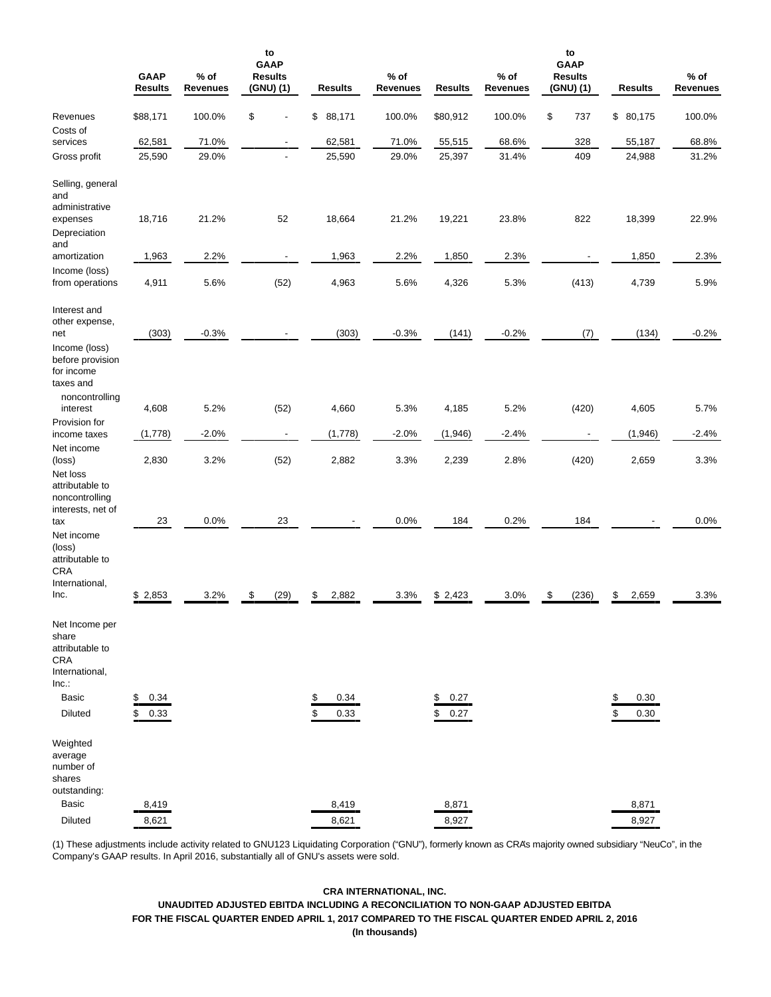|                                                                                                                      | <b>GAAP</b><br><b>Results</b> | $%$ of<br><b>Revenues</b> | to<br><b>GAAP</b><br><b>Results</b><br>(GNU) (1) |          | <b>Results</b> | $%$ of<br>Revenues | <b>Results</b>       | $%$ of<br><b>Revenues</b> | to<br><b>GAAP</b><br><b>Results</b><br>(GNU) (1) |          | <b>Results</b> | $%$ of<br>Revenues |
|----------------------------------------------------------------------------------------------------------------------|-------------------------------|---------------------------|--------------------------------------------------|----------|----------------|--------------------|----------------------|---------------------------|--------------------------------------------------|----------|----------------|--------------------|
| Revenues                                                                                                             | \$88,171                      | 100.0%                    | \$                                               | \$       | 88,171         | 100.0%             | \$80,912             | 100.0%                    | \$<br>737                                        |          | \$80,175       | 100.0%             |
| Costs of<br>services                                                                                                 | 62,581                        | 71.0%                     | $\overline{\phantom{a}}$                         |          | 62,581         | 71.0%              | 55,515               | 68.6%                     | 328                                              |          | 55,187         | 68.8%              |
| Gross profit                                                                                                         | 25,590                        | 29.0%                     | $\overline{\phantom{a}}$                         |          | 25,590         | 29.0%              | 25,397               | 31.4%                     | 409                                              |          | 24,988         | 31.2%              |
| Selling, general<br>and<br>administrative<br>expenses<br>Depreciation                                                | 18,716                        | 21.2%                     | 52                                               |          | 18,664         | 21.2%              | 19,221               | 23.8%                     | 822                                              |          | 18,399         | 22.9%              |
| and<br>amortization                                                                                                  | 1,963                         | 2.2%                      | $\overline{\phantom{a}}$                         |          | 1,963          | 2.2%               | 1,850                | 2.3%                      |                                                  |          | 1,850          | 2.3%               |
| Income (loss)                                                                                                        |                               |                           |                                                  |          |                |                    |                      |                           |                                                  |          |                |                    |
| from operations                                                                                                      | 4,911                         | 5.6%                      | (52)                                             |          | 4,963          | 5.6%               | 4,326                | 5.3%                      | (413)                                            |          | 4,739          | 5.9%               |
| Interest and<br>other expense,<br>net<br>Income (loss)                                                               | (303)                         | $-0.3%$                   |                                                  |          | (303)          | $-0.3%$            | (141)                | $-0.2%$                   | (7)                                              |          | (134)          | $-0.2%$            |
| before provision<br>for income<br>taxes and<br>noncontrolling                                                        |                               |                           |                                                  |          |                |                    |                      |                           |                                                  |          |                |                    |
| interest                                                                                                             | 4,608                         | 5.2%                      | (52)                                             |          | 4,660          | 5.3%               | 4,185                | 5.2%                      | (420)                                            |          | 4,605          | 5.7%               |
| Provision for                                                                                                        |                               | $-2.0%$                   | $\overline{\phantom{a}}$                         |          | (1,778)        | $-2.0%$            | (1,946)              | $-2.4%$                   |                                                  |          | (1,946)        | $-2.4%$            |
| income taxes<br>Net income                                                                                           | (1,778)                       |                           |                                                  |          |                |                    |                      |                           |                                                  |          |                |                    |
| (loss)<br>Net loss<br>attributable to<br>noncontrolling                                                              | 2,830                         | 3.2%                      | (52)                                             |          | 2,882          | 3.3%               | 2,239                | 2.8%                      | (420)                                            |          | 2,659          | 3.3%               |
| interests, net of<br>tax                                                                                             | 23                            | 0.0%                      | 23                                               |          |                | 0.0%               | 184                  | 0.2%                      | 184                                              |          |                | 0.0%               |
| Net income<br>(loss)<br>attributable to<br><b>CRA</b><br>International,<br>Inc.                                      | \$2,853                       | 3.2%                      | \$<br>(29)                                       | \$       | 2,882          | 3.3%               | \$2,423              | 3.0%                      | \$<br>(236)                                      | \$       | 2,659          | 3.3%               |
| Net Income per<br>share<br>attributable to<br><b>CRA</b><br>International,<br>Inc.<br><b>Basic</b><br><b>Diluted</b> | \$<br>0.34<br>\$<br>0.33      |                           |                                                  | \$<br>\$ | 0.34<br>0.33   |                    | \$<br>0.27<br>\$0.27 |                           |                                                  | \$<br>\$ | 0.30<br>0.30   |                    |
| Weighted<br>average<br>number of<br>shares<br>outstanding:<br><b>Basic</b><br>Diluted                                | 8,419<br>8,621                |                           |                                                  |          | 8,419<br>8,621 |                    | 8,871<br>8,927       |                           |                                                  |          | 8,871<br>8,927 |                    |

(1) These adjustments include activity related to GNU123 Liquidating Corporation ("GNU"), formerly known as CRA's majority owned subsidiary "NeuCo", in the Company's GAAP results. In April 2016, substantially all of GNU's assets were sold.

# **CRA INTERNATIONAL, INC. UNAUDITED ADJUSTED EBITDA INCLUDING A RECONCILIATION TO NON-GAAP ADJUSTED EBITDA FOR THE FISCAL QUARTER ENDED APRIL 1, 2017 COMPARED TO THE FISCAL QUARTER ENDED APRIL 2, 2016 (In thousands)**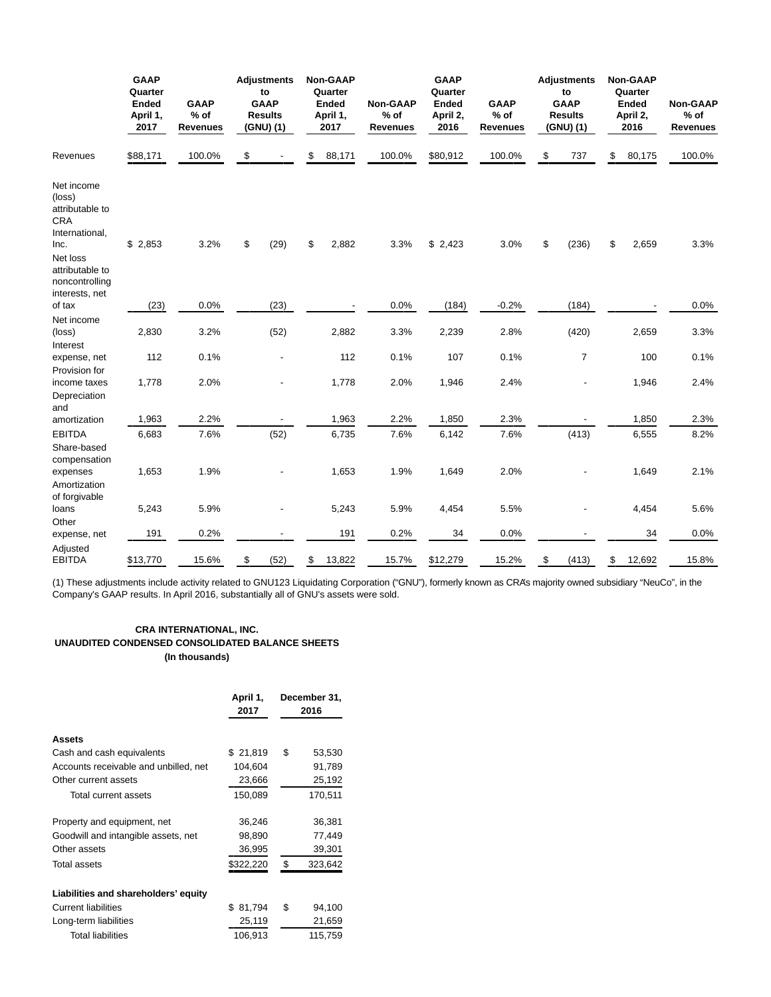|                                                                                 | <b>GAAP</b><br>Quarter<br><b>Ended</b><br>April 1,<br>2017 | <b>GAAP</b><br>$%$ of<br><b>Revenues</b> | <b>Adjustments</b><br>to<br><b>GAAP</b><br><b>Results</b><br>(GNU) (1) | <b>Non-GAAP</b><br>Quarter<br><b>Ended</b><br>April 1,<br>2017 | Non-GAAP<br>$%$ of<br><b>Revenues</b> | <b>GAAP</b><br>Quarter<br><b>Ended</b><br>April 2,<br>2016 | <b>GAAP</b><br>$%$ of<br><b>Revenues</b> | <b>Adjustments</b><br>to<br><b>GAAP</b><br><b>Results</b><br>(GNU)(1) | <b>Non-GAAP</b><br>Quarter<br><b>Ended</b><br>April 2,<br>2016 | <b>Non-GAAP</b><br>$%$ of<br><b>Revenues</b> |        |
|---------------------------------------------------------------------------------|------------------------------------------------------------|------------------------------------------|------------------------------------------------------------------------|----------------------------------------------------------------|---------------------------------------|------------------------------------------------------------|------------------------------------------|-----------------------------------------------------------------------|----------------------------------------------------------------|----------------------------------------------|--------|
| Revenues                                                                        | \$88,171                                                   |                                          | 100.0%                                                                 | \$                                                             | \$<br>88,171                          | 100.0%                                                     | \$80,912                                 | 100.0%                                                                | \$<br>737                                                      | \$<br>80,175                                 | 100.0% |
| Net income<br>(loss)<br>attributable to<br><b>CRA</b><br>International,<br>Inc. | \$2,853                                                    | 3.2%                                     | \$<br>(29)                                                             | \$<br>2,882                                                    | 3.3%                                  | \$2,423                                                    | 3.0%                                     | \$<br>(236)                                                           | \$<br>2,659                                                    | 3.3%                                         |        |
| Net loss<br>attributable to<br>noncontrolling<br>interests, net                 |                                                            |                                          |                                                                        |                                                                |                                       |                                                            |                                          |                                                                       |                                                                |                                              |        |
| of tax                                                                          | (23)                                                       | 0.0%                                     | (23)                                                                   |                                                                | 0.0%                                  | (184)                                                      | $-0.2%$                                  | (184)                                                                 |                                                                | 0.0%                                         |        |
| Net income<br>(loss)<br>Interest                                                | 2,830                                                      | 3.2%                                     | (52)                                                                   | 2,882                                                          | 3.3%                                  | 2,239                                                      | 2.8%                                     | (420)                                                                 | 2,659                                                          | 3.3%                                         |        |
| expense, net<br>Provision for                                                   | 112                                                        | 0.1%                                     |                                                                        | 112                                                            | 0.1%                                  | 107                                                        | 0.1%                                     | $\overline{7}$                                                        | 100                                                            | 0.1%                                         |        |
| income taxes<br>Depreciation<br>and                                             | 1,778                                                      | 2.0%                                     |                                                                        | 1,778                                                          | 2.0%                                  | 1,946                                                      | 2.4%                                     |                                                                       | 1,946                                                          | 2.4%                                         |        |
| amortization                                                                    | 1,963                                                      | 2.2%                                     |                                                                        | 1,963                                                          | 2.2%                                  | 1,850                                                      | 2.3%                                     |                                                                       | 1,850                                                          | 2.3%                                         |        |
| <b>EBITDA</b><br>Share-based<br>compensation                                    | 6,683                                                      | 7.6%                                     | (52)                                                                   | 6,735                                                          | 7.6%                                  | 6,142                                                      | 7.6%                                     | (413)                                                                 | 6,555                                                          | 8.2%                                         |        |
| expenses<br>Amortization<br>of forgivable                                       | 1,653                                                      | 1.9%                                     |                                                                        | 1,653                                                          | 1.9%                                  | 1,649                                                      | 2.0%                                     |                                                                       | 1,649                                                          | 2.1%                                         |        |
| loans<br>Other                                                                  | 5,243                                                      | 5.9%                                     |                                                                        | 5,243                                                          | 5.9%                                  | 4,454                                                      | 5.5%                                     |                                                                       | 4,454                                                          | 5.6%                                         |        |
| expense, net                                                                    | 191                                                        | 0.2%                                     |                                                                        | 191                                                            | 0.2%                                  | 34                                                         | 0.0%                                     |                                                                       | 34                                                             | 0.0%                                         |        |
| Adjusted<br><b>EBITDA</b>                                                       | \$13,770                                                   | 15.6%                                    | \$<br>(52)                                                             | \$<br>13,822                                                   | 15.7%                                 | \$12,279                                                   | 15.2%                                    | \$<br>(413)                                                           | \$<br>12,692                                                   | 15.8%                                        |        |

(1) These adjustments include activity related to GNU123 Liquidating Corporation ("GNU"), formerly known as CRA's majority owned subsidiary "NeuCo", in the Company's GAAP results. In April 2016, substantially all of GNU's assets were sold.

# **CRA INTERNATIONAL, INC. UNAUDITED CONDENSED CONSOLIDATED BALANCE SHEETS (In thousands)**

|                                       | April 1,<br>2017 | December 31,<br>2016 |
|---------------------------------------|------------------|----------------------|
| Assets                                |                  |                      |
| Cash and cash equivalents             | \$21,819         | \$<br>53,530         |
| Accounts receivable and unbilled, net | 104,604          | 91,789               |
| Other current assets                  | 23,666           | 25,192               |
| Total current assets                  | 150,089          | 170,511              |
| Property and equipment, net           | 36,246           | 36,381               |
| Goodwill and intangible assets, net   | 98,890           | 77,449               |
| Other assets                          | 36,995           | 39,301               |
| Total assets                          | \$322,220        | \$<br>323,642        |
| Liabilities and shareholders' equity  |                  |                      |
| <b>Current liabilities</b>            | 81,794<br>\$.    | \$<br>94,100         |
| Long-term liabilities                 | 25,119           | 21,659               |
| <b>Total liabilities</b>              | 106,913          | 115,759              |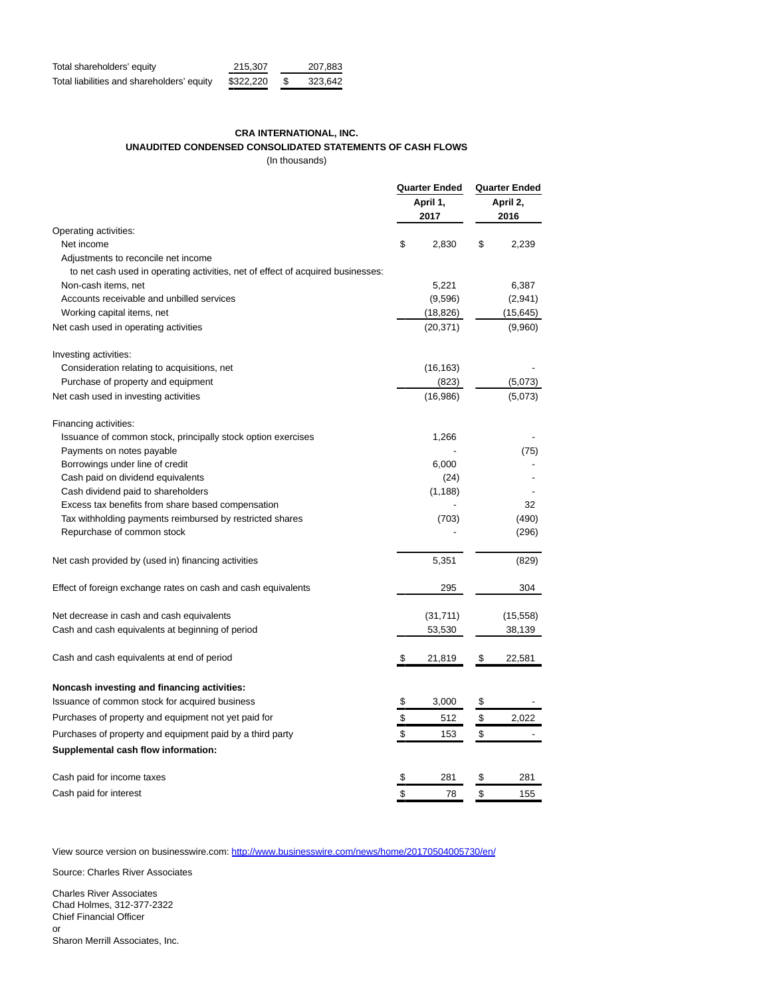| Total shareholders' equity                 | 215.307   | 207.883 |
|--------------------------------------------|-----------|---------|
| Total liabilities and shareholders' equity | \$322.220 | 323.642 |

# **CRA INTERNATIONAL, INC. UNAUDITED CONDENSED CONSOLIDATED STATEMENTS OF CASH FLOWS**

(In thousands)

|                                                                                 | <b>Quarter Ended</b><br>April 1,<br>2017 |           | Quarter Ended |                  |  |
|---------------------------------------------------------------------------------|------------------------------------------|-----------|---------------|------------------|--|
|                                                                                 |                                          |           |               | April 2,<br>2016 |  |
| Operating activities:                                                           |                                          |           |               |                  |  |
| Net income                                                                      | \$                                       | 2,830     | \$            | 2,239            |  |
| Adjustments to reconcile net income                                             |                                          |           |               |                  |  |
| to net cash used in operating activities, net of effect of acquired businesses: |                                          |           |               |                  |  |
| Non-cash items, net                                                             |                                          | 5,221     |               | 6,387            |  |
| Accounts receivable and unbilled services                                       |                                          | (9,596)   |               | (2,941)          |  |
| Working capital items, net                                                      |                                          | (18, 826) |               | (15, 645)        |  |
| Net cash used in operating activities                                           |                                          | (20, 371) |               | (9,960)          |  |
| Investing activities:                                                           |                                          |           |               |                  |  |
| Consideration relating to acquisitions, net                                     |                                          | (16, 163) |               |                  |  |
| Purchase of property and equipment                                              |                                          | (823)     |               | (5,073)          |  |
| Net cash used in investing activities                                           |                                          | (16,986)  |               | (5,073)          |  |
| Financing activities:                                                           |                                          |           |               |                  |  |
| Issuance of common stock, principally stock option exercises                    |                                          | 1,266     |               |                  |  |
| Payments on notes payable                                                       |                                          |           |               | (75)             |  |
| Borrowings under line of credit                                                 |                                          | 6,000     |               |                  |  |
| Cash paid on dividend equivalents                                               |                                          | (24)      |               |                  |  |
| Cash dividend paid to shareholders                                              |                                          | (1, 188)  |               |                  |  |
| Excess tax benefits from share based compensation                               |                                          |           |               | 32               |  |
| Tax withholding payments reimbursed by restricted shares                        |                                          | (703)     |               | (490)            |  |
| Repurchase of common stock                                                      |                                          |           |               | (296)            |  |
| Net cash provided by (used in) financing activities                             |                                          | 5,351     |               | (829)            |  |
| Effect of foreign exchange rates on cash and cash equivalents                   |                                          | 295       |               | 304              |  |
| Net decrease in cash and cash equivalents                                       |                                          | (31, 711) |               | (15, 558)        |  |
| Cash and cash equivalents at beginning of period                                |                                          | 53,530    |               | 38,139           |  |
|                                                                                 |                                          |           |               |                  |  |
| Cash and cash equivalents at end of period                                      | \$                                       | 21,819    | \$            | 22,581           |  |
| Noncash investing and financing activities:                                     |                                          |           |               |                  |  |
| Issuance of common stock for acquired business                                  | \$                                       | 3,000     | \$            |                  |  |
| Purchases of property and equipment not yet paid for                            | \$                                       | 512       | \$            | 2,022            |  |
| Purchases of property and equipment paid by a third party                       | \$                                       | 153       | \$            |                  |  |
| Supplemental cash flow information:                                             |                                          |           |               |                  |  |
| Cash paid for income taxes                                                      | \$                                       | 281       | \$            | 281              |  |
| Cash paid for interest                                                          | \$                                       | 78        | \$            | 155              |  |

View source version on businesswire.com[: http://www.businesswire.com/news/home/20170504005730/en/](http://www.businesswire.com/news/home/20170504005730/en/)

Source: Charles River Associates

Charles River Associates Chad Holmes, 312-377-2322 Chief Financial Officer or Sharon Merrill Associates, Inc.